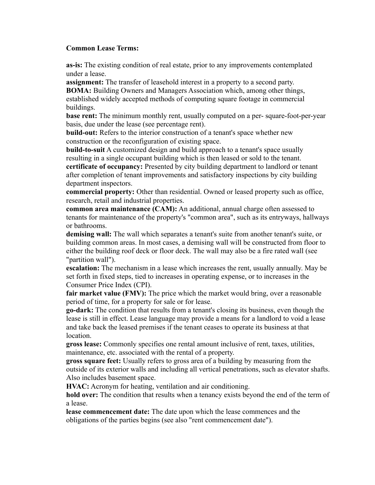## **Common Lease Terms:**

**as-is:** The existing condition of real estate, prior to any improvements contemplated under a lease.

**assignment:** The transfer of leasehold interest in a property to a second party. **BOMA:** Building Owners and Managers Association which, among other things, established widely accepted methods of computing square footage in commercial buildings.

**base rent:** The minimum monthly rent, usually computed on a per-square-foot-per-year basis, due under the lease (see percentage rent).

**build-out:** Refers to the interior construction of a tenant's space whether new construction or the reconfiguration of existing space.

**build-to-suit** A customized design and build approach to a tenant's space usually resulting in a single occupant building which is then leased or sold to the tenant. **certificate of occupancy:** Presented by city building department to landlord or tenant after completion of tenant improvements and satisfactory inspections by city building department inspectors.

**commercial property:** Other than residential. Owned or leased property such as office, research, retail and industrial properties.

**common area maintenance (CAM):** An additional, annual charge often assessed to tenants for maintenance of the property's "common area", such as its entryways, hallways or bathrooms.

**demising wall:** The wall which separates a tenant's suite from another tenant's suite, or building common areas. In most cases, a demising wall will be constructed from floor to either the building roof deck or floor deck. The wall may also be a fire rated wall (see "partition wall").

**escalation:** The mechanism in a lease which increases the rent, usually annually. May be set forth in fixed steps, tied to increases in operating expense, or to increases in the Consumer Price Index (CPI).

**fair market value (FMV):** The price which the market would bring, over a reasonable period of time, for a property for sale or for lease.

**go-dark:** The condition that results from a tenant's closing its business, even though the lease is still in effect. Lease language may provide a means for a landlord to void a lease and take back the leased premises if the tenant ceases to operate its business at that location.

**gross lease:** Commonly specifies one rental amount inclusive of rent, taxes, utilities, maintenance, etc. associated with the rental of a property.

**gross square feet:** Usually refers to gross area of a building by measuring from the outside of its exterior walls and including all vertical penetrations, such as elevator shafts. Also includes basement space.

**HVAC:** Acronym for heating, ventilation and air conditioning.

**hold over:** The condition that results when a tenancy exists beyond the end of the term of a lease.

**lease commencement date:** The date upon which the lease commences and the obligations of the parties begins (see also "rent commencement date").